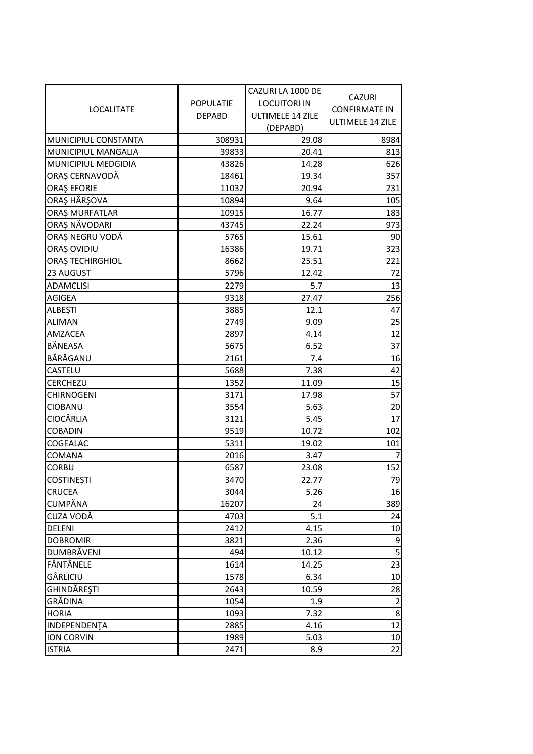|                      |                  | CAZURI LA 1000 DE            | <b>CAZURI</b>           |
|----------------------|------------------|------------------------------|-------------------------|
| <b>LOCALITATE</b>    | <b>POPULATIE</b> | <b>LOCUITORI IN</b>          | <b>CONFIRMATE IN</b>    |
|                      | <b>DEPABD</b>    | ULTIMELE 14 ZILE<br>(DEPABD) | <b>ULTIMELE 14 ZILE</b> |
| MUNICIPIUL CONSTANTA | 308931           | 29.08                        | 8984                    |
| MUNICIPIUL MANGALIA  | 39833            | 20.41                        | 813                     |
| MUNICIPIUL MEDGIDIA  | 43826            | 14.28                        | 626                     |
| ORAȘ CERNAVODĂ       | 18461            | 19.34                        | 357                     |
| <b>ORAȘ EFORIE</b>   | 11032            | 20.94                        | 231                     |
| ORAȘ HÂRȘOVA         | 10894            | 9.64                         | 105                     |
| ORAȘ MURFATLAR       | 10915            | 16.77                        | 183                     |
| ORAȘ NĂVODARI        | 43745            | 22.24                        | 973                     |
| ORAȘ NEGRU VODĂ      | 5765             | 15.61                        | 90                      |
| ORAȘ OVIDIU          | 16386            | 19.71                        | 323                     |
| ORAȘ TECHIRGHIOL     | 8662             | 25.51                        | 221                     |
| 23 AUGUST            | 5796             | 12.42                        | 72                      |
| <b>ADAMCLISI</b>     | 2279             | 5.7                          | 13                      |
| <b>AGIGEA</b>        | 9318             | 27.47                        | 256                     |
| <b>ALBEȘTI</b>       | 3885             | 12.1                         | 47                      |
| <b>ALIMAN</b>        | 2749             | 9.09                         | 25                      |
| <b>AMZACEA</b>       | 2897             | 4.14                         | 12                      |
| <b>BÅNEASA</b>       | 5675             | 6.52                         | 37                      |
| BĂRĂGANU             | 2161             | 7.4                          | 16                      |
| CASTELU              | 5688             | 7.38                         | 42                      |
| <b>CERCHEZU</b>      | 1352             | 11.09                        | 15                      |
| <b>CHIRNOGENI</b>    | 3171             | 17.98                        | 57                      |
| <b>CIOBANU</b>       | 3554             | 5.63                         | 20                      |
| <b>CIOCÂRLIA</b>     | 3121             | 5.45                         | 17                      |
| <b>COBADIN</b>       | 9519             | 10.72                        | 102                     |
| COGEALAC             | 5311             | 19.02                        | 101                     |
| <b>COMANA</b>        | 2016             | 3.47                         | $\overline{7}$          |
| <b>CORBU</b>         | 6587             | 23.08                        | 152                     |
| <b>COSTINEȘTI</b>    | 3470             | 22.77                        | 79                      |
| <b>CRUCEA</b>        | 3044             | 5.26                         | 16                      |
| <b>CUMPĂNA</b>       | 16207            | 24                           | 389                     |
| CUZA VODĂ            | 4703             | 5.1                          | 24                      |
| <b>DELENI</b>        | 2412             | 4.15                         | 10                      |
| <b>DOBROMIR</b>      | 3821             | 2.36                         | 9                       |
| <b>DUMBRĂVENI</b>    | 494              | 10.12                        | 5                       |
| FÂNTÂNELE            | 1614             | 14.25                        | 23                      |
| GÂRLICIU             | 1578             | 6.34                         | 10                      |
| GHINDĂREȘTI          | 2643             | 10.59                        | 28                      |
| GRĂDINA              | 1054             | 1.9                          | $\overline{2}$          |
| <b>HORIA</b>         | 1093             | 7.32                         | 8                       |
| INDEPENDENTA         | 2885             | 4.16                         | 12                      |
| <b>ION CORVIN</b>    | 1989             | 5.03                         | 10                      |
| <b>ISTRIA</b>        | 2471             | 8.9                          | 22                      |